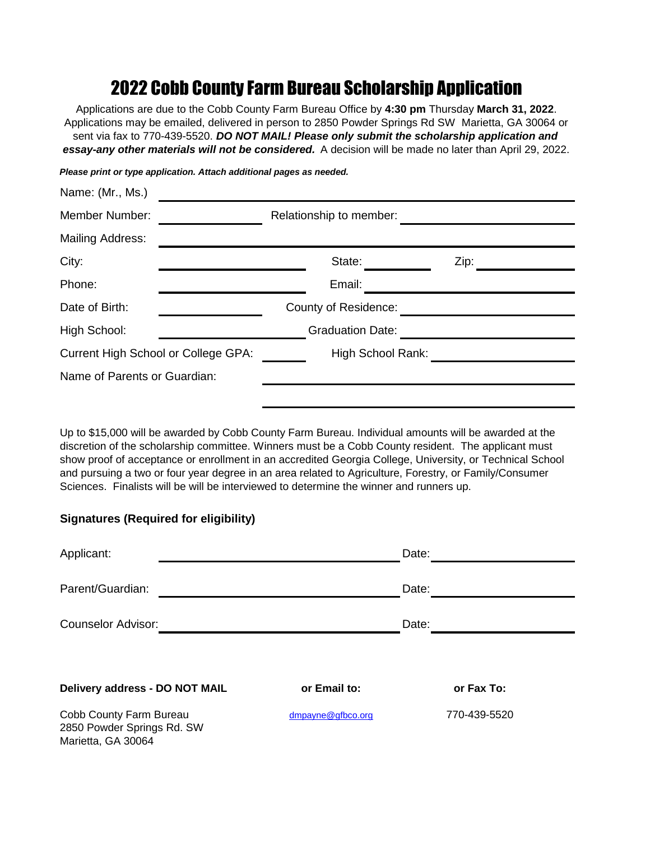## 2022 Cobb County Farm Bureau Scholarship Application

Applications are due to the Cobb County Farm Bureau Office by **4:30 pm** Thursday **March 31, 2022**. Applications may be emailed, delivered in person to 2850 Powder Springs Rd SW Marietta, GA 30064 or sent via fax to 770-439-5520. *DO NOT MAIL! Please only submit the scholarship application and essay-any other materials will not be considered.* A decision will be made no later than April 29, 2022.

| Name: (Mr., Ms.)                    |                             |  |
|-------------------------------------|-----------------------------|--|
| <b>Member Number:</b>               | Relationship to member:     |  |
| Mailing Address:                    |                             |  |
| City:                               | State:<br>Zip:              |  |
| Phone:                              | Email:                      |  |
| Date of Birth:                      | <b>County of Residence:</b> |  |
| High School:                        | <b>Graduation Date:</b>     |  |
| Current High School or College GPA: | High School Rank:           |  |
| Name of Parents or Guardian:        |                             |  |
|                                     |                             |  |

Up to \$15,000 will be awarded by Cobb County Farm Bureau. Individual amounts will be awarded at the discretion of the scholarship committee. Winners must be a Cobb County resident. The applicant must show proof of acceptance or enrollment in an accredited Georgia College, University, or Technical School and pursuing a two or four year degree in an area related to Agriculture, Forestry, or Family/Consumer Sciences. Finalists will be will be interviewed to determine the winner and runners up.

## **Signatures (Required for eligibility)**

| Applicant:                                                                  |                   | Date:        |
|-----------------------------------------------------------------------------|-------------------|--------------|
| Parent/Guardian:                                                            |                   | Date:        |
| <b>Counselor Advisor:</b>                                                   |                   | Date:        |
| Delivery address - DO NOT MAIL                                              | or Email to:      | or Fax To:   |
| Cobb County Farm Bureau<br>2850 Powder Springs Rd. SW<br>Marietta, GA 30064 | dmpayne@gfbco.org | 770-439-5520 |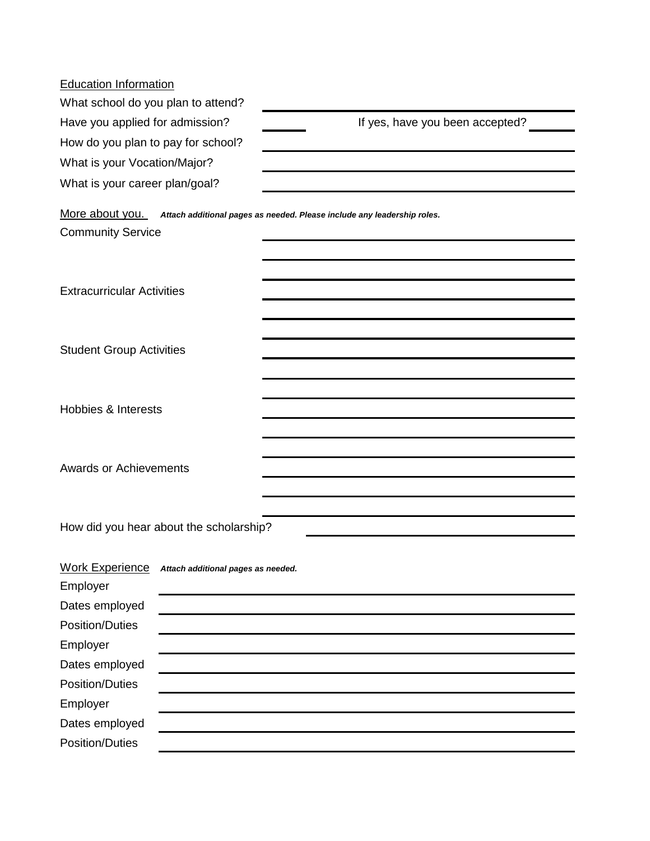| <b>Education Information</b>             |                                         |                                                                                         |
|------------------------------------------|-----------------------------------------|-----------------------------------------------------------------------------------------|
| What school do you plan to attend?       |                                         |                                                                                         |
| Have you applied for admission?          |                                         | If yes, have you been accepted?                                                         |
| How do you plan to pay for school?       |                                         |                                                                                         |
| What is your Vocation/Major?             |                                         |                                                                                         |
| What is your career plan/goal?           |                                         |                                                                                         |
|                                          |                                         | More about you. Attach additional pages as needed. Please include any leadership roles. |
| <b>Community Service</b>                 |                                         |                                                                                         |
|                                          |                                         |                                                                                         |
|                                          |                                         |                                                                                         |
| <b>Extracurricular Activities</b>        |                                         |                                                                                         |
|                                          |                                         |                                                                                         |
|                                          |                                         |                                                                                         |
| <b>Student Group Activities</b>          |                                         |                                                                                         |
|                                          |                                         |                                                                                         |
|                                          |                                         |                                                                                         |
| <b>Hobbies &amp; Interests</b>           |                                         |                                                                                         |
|                                          |                                         |                                                                                         |
|                                          |                                         |                                                                                         |
| <b>Awards or Achievements</b>            |                                         |                                                                                         |
|                                          |                                         |                                                                                         |
|                                          |                                         |                                                                                         |
|                                          | How did you hear about the scholarship? |                                                                                         |
|                                          |                                         |                                                                                         |
| <b>Work Experience</b>                   | Attach additional pages as needed.      |                                                                                         |
| Employer                                 |                                         |                                                                                         |
| Dates employed<br><b>Position/Duties</b> |                                         |                                                                                         |
|                                          |                                         |                                                                                         |
| Employer<br>Dates employed               |                                         |                                                                                         |
| <b>Position/Duties</b>                   |                                         |                                                                                         |
| Employer                                 |                                         |                                                                                         |
| Dates employed                           |                                         |                                                                                         |
| <b>Position/Duties</b>                   |                                         |                                                                                         |